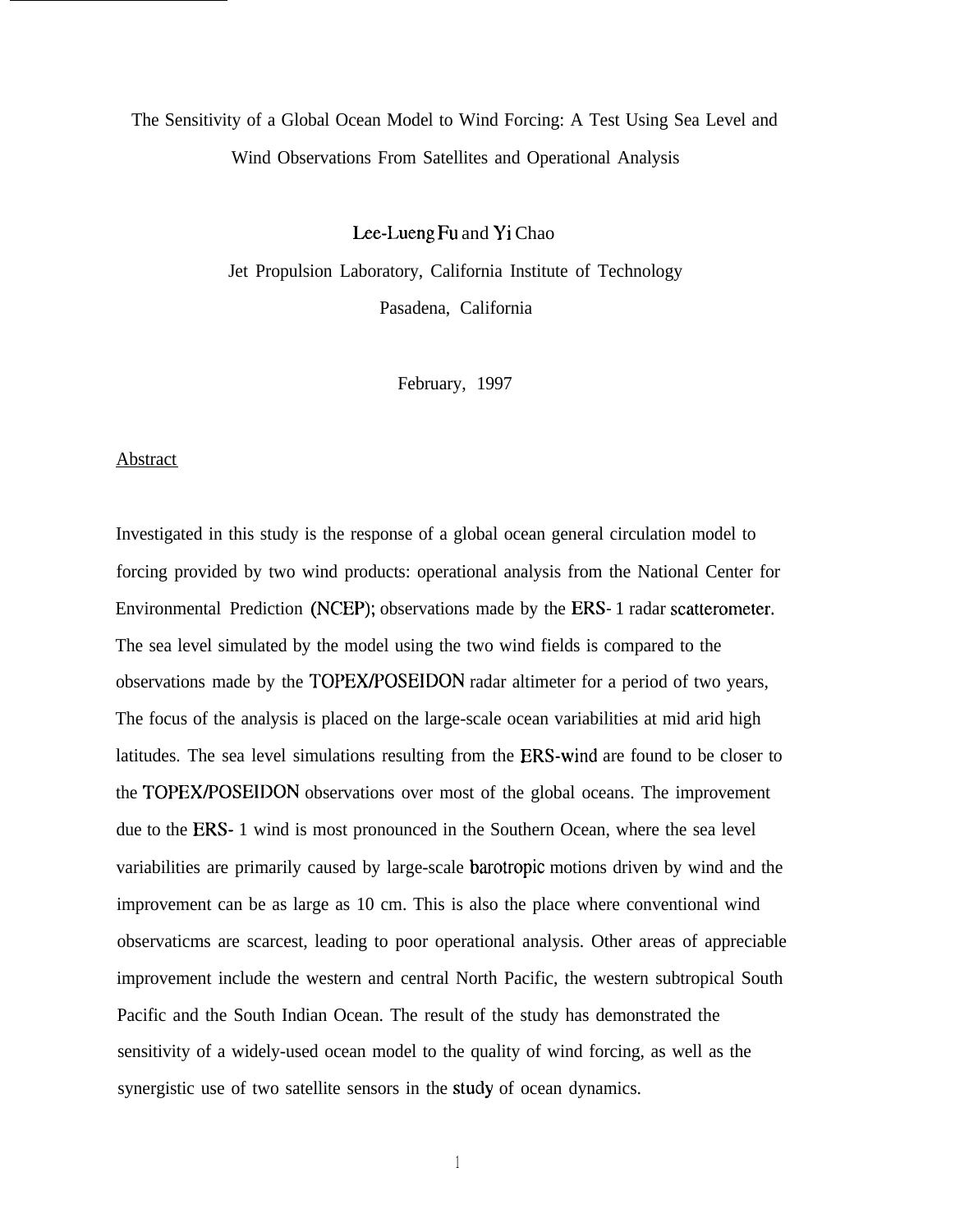# The Sensitivity of a Global Ocean Model to Wind Forcing: A Test Using Sea Level and Wind Observations From Satellites and Operational Analysis

Lee-Lueng Fu and Yi Chao

Jet Propulsion Laboratory, California Institute of Technology Pasadena, California

February, 1997

#### Abstract

Investigated in this study is the response of a global ocean general circulation model to forcing provided by two wind products: operational analysis from the National Center for Environmental Prediction (NCEP); observations made by the ERS- 1 radar scatterometer. The sea level simulated by the model using the two wind fields is compared to the observations made by the TOPEX/POSEIDON radar altimeter for a period of two years, The focus of the analysis is placed on the large-scale ocean variabilities at mid arid high latitudes. The sea level simulations resulting from the ERS-wind are found to be closer to the TOPEX/POSEIDON observations over most of the global oceans. The improvement due to the ERS- 1 wind is most pronounced in the Southern Ocean, where the sea level variabilities are primarily caused by large-scale barotropic motions driven by wind and the improvement can be as large as 10 cm. This is also the place where conventional wind observaticms are scarcest, leading to poor operational analysis. Other areas of appreciable improvement include the western and central North Pacific, the western subtropical South Pacific and the South Indian Ocean. The result of the study has demonstrated the sensitivity of a widely-used ocean model to the quality of wind forcing, as well as the synergistic use of two satellite sensors in the study of ocean dynamics.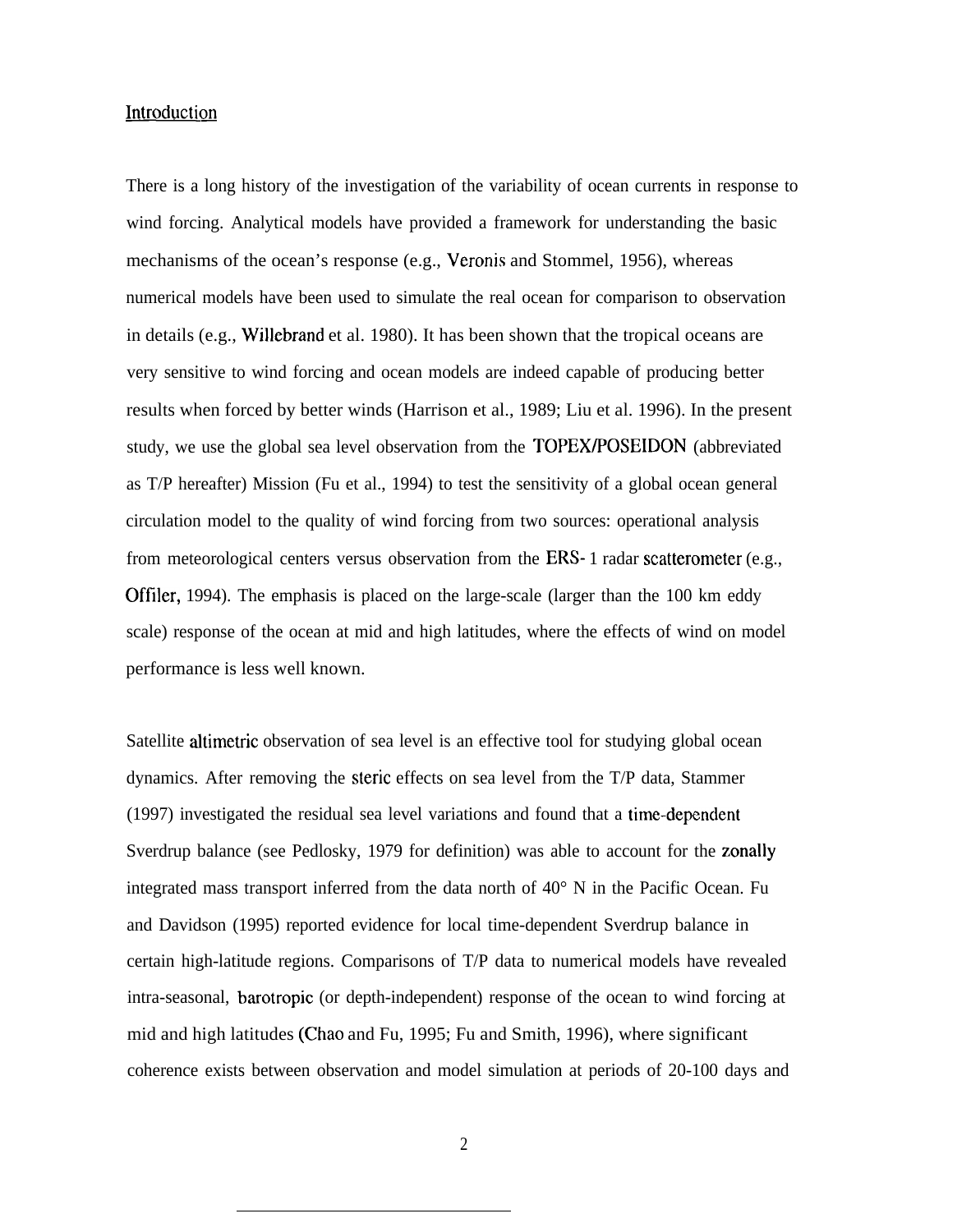# Introduction

There is a long history of the investigation of the variability of ocean currents in response to wind forcing. Analytical models have provided a framework for understanding the basic mechanisms of the ocean's response (e.g., Veronis and Stommel, 1956), whereas numerical models have been used to simulate the real ocean for comparison to observation in details (e.g., Willebrand et al. 1980). It has been shown that the tropical oceans are very sensitive to wind forcing and ocean models are indeed capable of producing better results when forced by better winds (Harrison et al., 1989; Liu et al. 1996). In the present study, we use the global sea level observation from the TOPEX/POSEIDON (abbreviated as T/P hereafter) Mission (Fu et al., 1994) to test the sensitivity of a global ocean general circulation model to the quality of wind forcing from two sources: operational analysis from meteorological centers versus observation from the ERS- 1 radar scatterometer (e.g., Offiler, 1994). The emphasis is placed on the large-scale (larger than the 100 km eddy scale) response of the ocean at mid and high latitudes, where the effects of wind on model performance is less well known.

Satellite altimetric observation of sea level is an effective tool for studying global ocean dynamics. After removing the steric effects on sea level from the T/P data, Stammer (1997) investigated the residual sea level variations and found that a time-depenclent Sverdrup balance (see Pedlosky, 1979 for definition) was able to account for the zonally integrated mass transport inferred from the data north of 40° N in the Pacific Ocean. Fu and Davidson (1995) reported evidence for local time-dependent Sverdrup balance in certain high-latitude regions. Comparisons of T/P data to numerical models have revealed intra-seasonal, barotropic (or depth-independent) response of the ocean to wind forcing at mid and high latitudes (Chao and Fu, 1995; Fu and Smith, 1996), where significant coherence exists between observation and model simulation at periods of 20-100 days and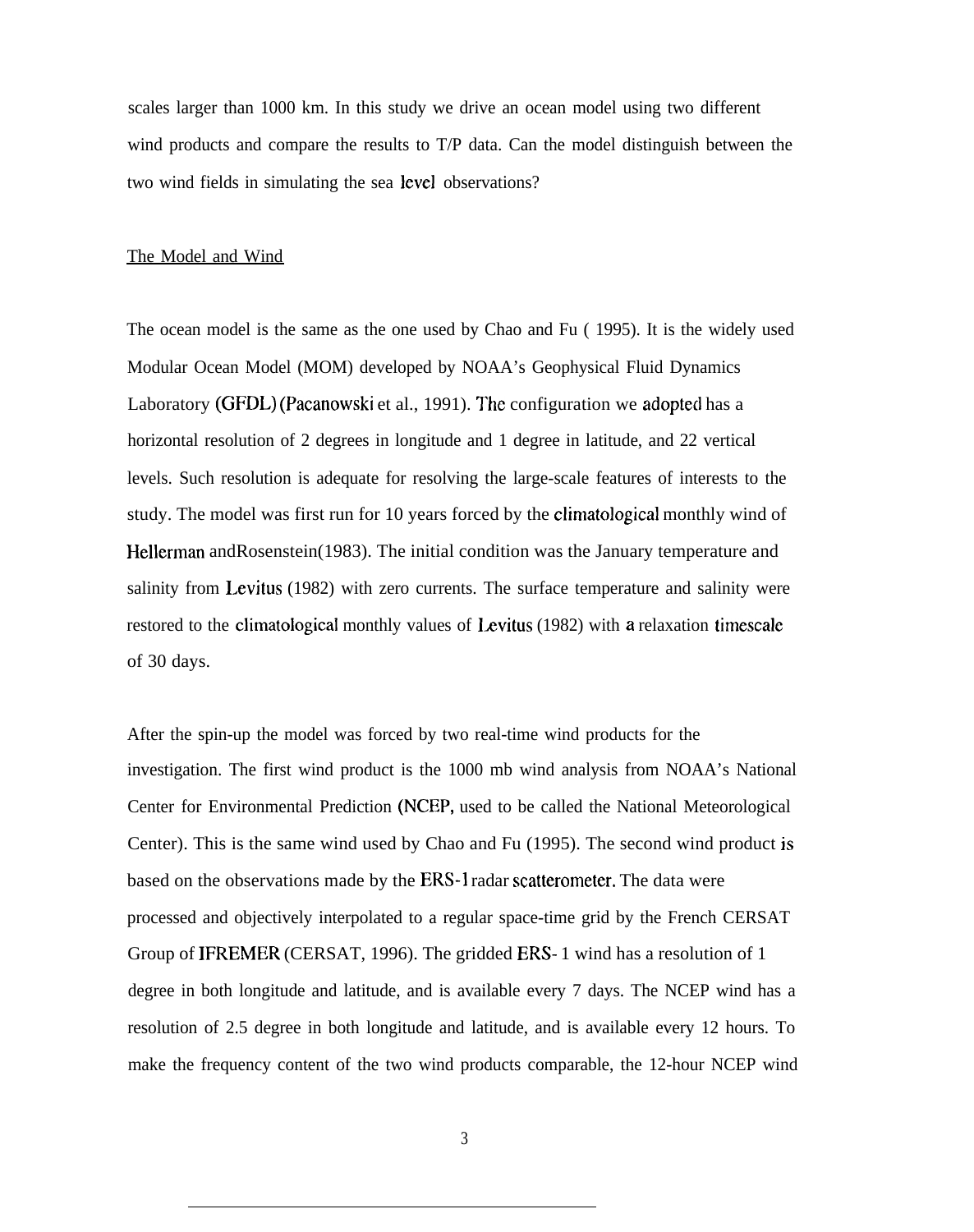scales larger than 1000 km. In this study we drive an ocean model using two different wind products and compare the results to T/P data. Can the model distinguish between the two wind fields in simulating the sea level observations?

#### The Model and Wind

The ocean model is the same as the one used by Chao and Fu ( 1995). It is the widely used Modular Ocean Model (MOM) developed by NOAA's Geophysical Fluid Dynamics Laboratory (GFDL) (Pacanowski et al., 1991). The configuration we adopted has a horizontal resolution of 2 degrees in longitude and 1 degree in latitude, and 22 vertical levels. Such resolution is adequate for resolving the large-scale features of interests to the study. The model was first run for 10 years forced by the climatological monthly wind of Hellerman andRosenstein(1983). The initial condition was the January temperature and salinity from Levitus (1982) with zero currents. The surface temperature and salinity were restored to the climatological monthly values of Levitus (1982) with a relaxation timescale of 30 days.

After the spin-up the model was forced by two real-time wind products for the investigation. The first wind product is the 1000 mb wind analysis from NOAA's National Center for Environmental Prediction (NCEP, used to be called the National Meteorological Center). This is the same wind used by Chao and Fu (1995). The second wind product is based on the observations made by the ERS-1 radar scatterometer. The data were processed and objectively interpolated to a regular space-time grid by the French CERSAT Group of IFREMER (CERSAT, 1996). The gridded ERS- 1 wind has a resolution of 1 degree in both longitude and latitude, and is available every 7 days. The NCEP wind has a resolution of 2.5 degree in both longitude and latitude, and is available every 12 hours. To make the frequency content of the two wind products comparable, the 12-hour NCEP wind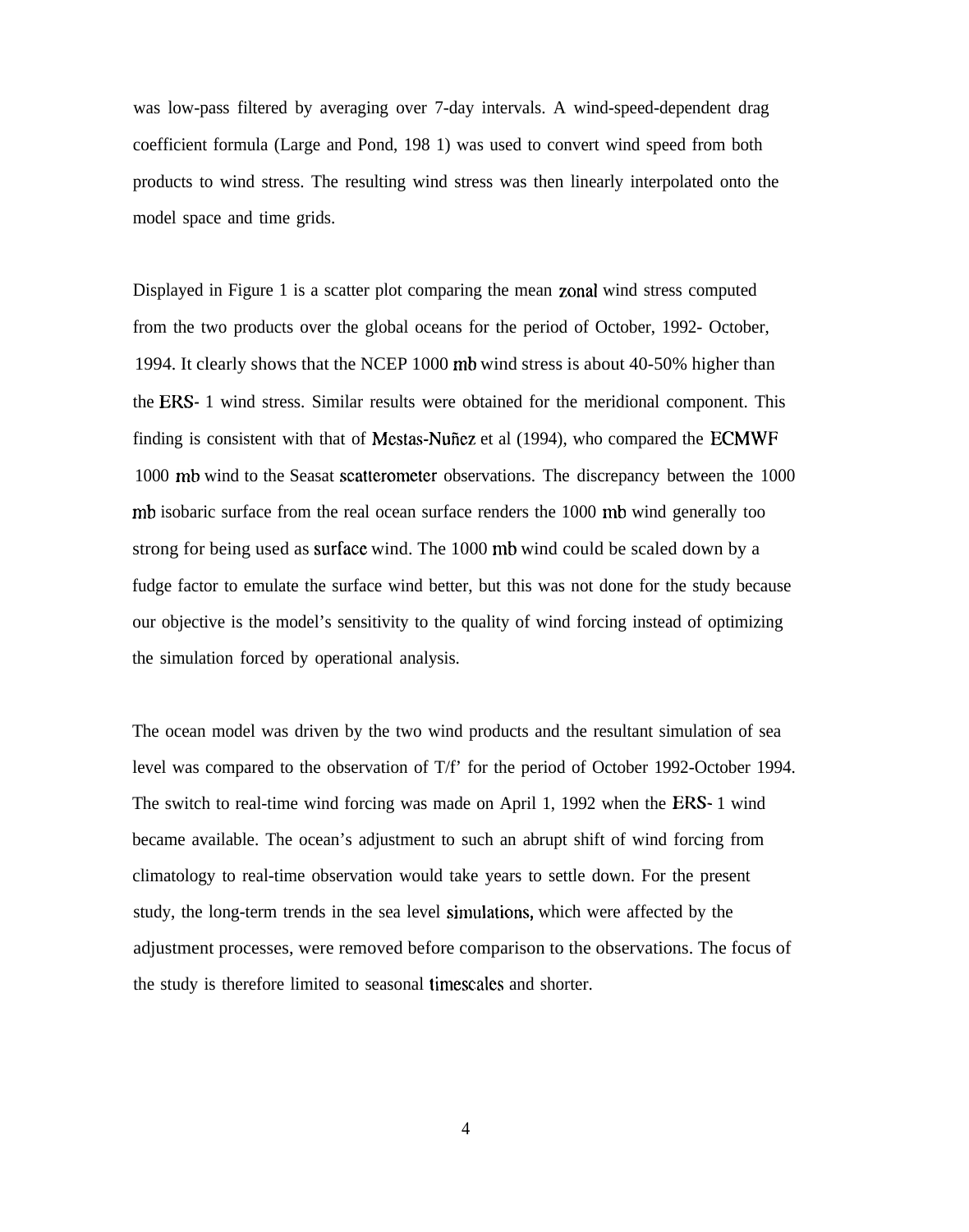was low-pass filtered by averaging over 7-day intervals. A wind-speed-dependent drag coefficient formula (Large and Pond, 198 1) was used to convert wind speed from both products to wind stress. The resulting wind stress was then linearly interpolated onto the model space and time grids.

Displayed in Figure 1 is a scatter plot comparing the mean zonal wind stress computed from the two products over the global oceans for the period of October, 1992- October, 1994. It clearly shows that the NCEP 1000 mb wind stress is about 40-50% higher than the ERS- 1 wind stress. Similar results were obtained for the meridional component. This finding is consistent with that of Mestas-Nuñez et al (1994), who compared the ECMWF 1000 mb wind to the Seasat scatterometer observations. The discrepancy between the 1000 mb isobaric surface from the real ocean surface renders the 1000 mb wind generally too strong for being used as surfiace wind. The 1000 mb wind could be scaled down by a fudge factor to emulate the surface wind better, but this was not done for the study because our objective is the model's sensitivity to the quality of wind forcing instead of optimizing the simulation forced by operational analysis.

The ocean model was driven by the two wind products and the resultant simulation of sea level was compared to the observation of T/f' for the period of October 1992-October 1994. The switch to real-time wind forcing was made on April 1, 1992 when the ERS- 1 wind became available. The ocean's adjustment to such an abrupt shift of wind forcing from climatology to real-time observation would take years to settle down. For the present study, the long-term trends in the sea level simulations, which were affected by the adjustment processes, were removed before comparison to the observations. The focus of the study is therefore limited to seasonal timescalcs and shorter.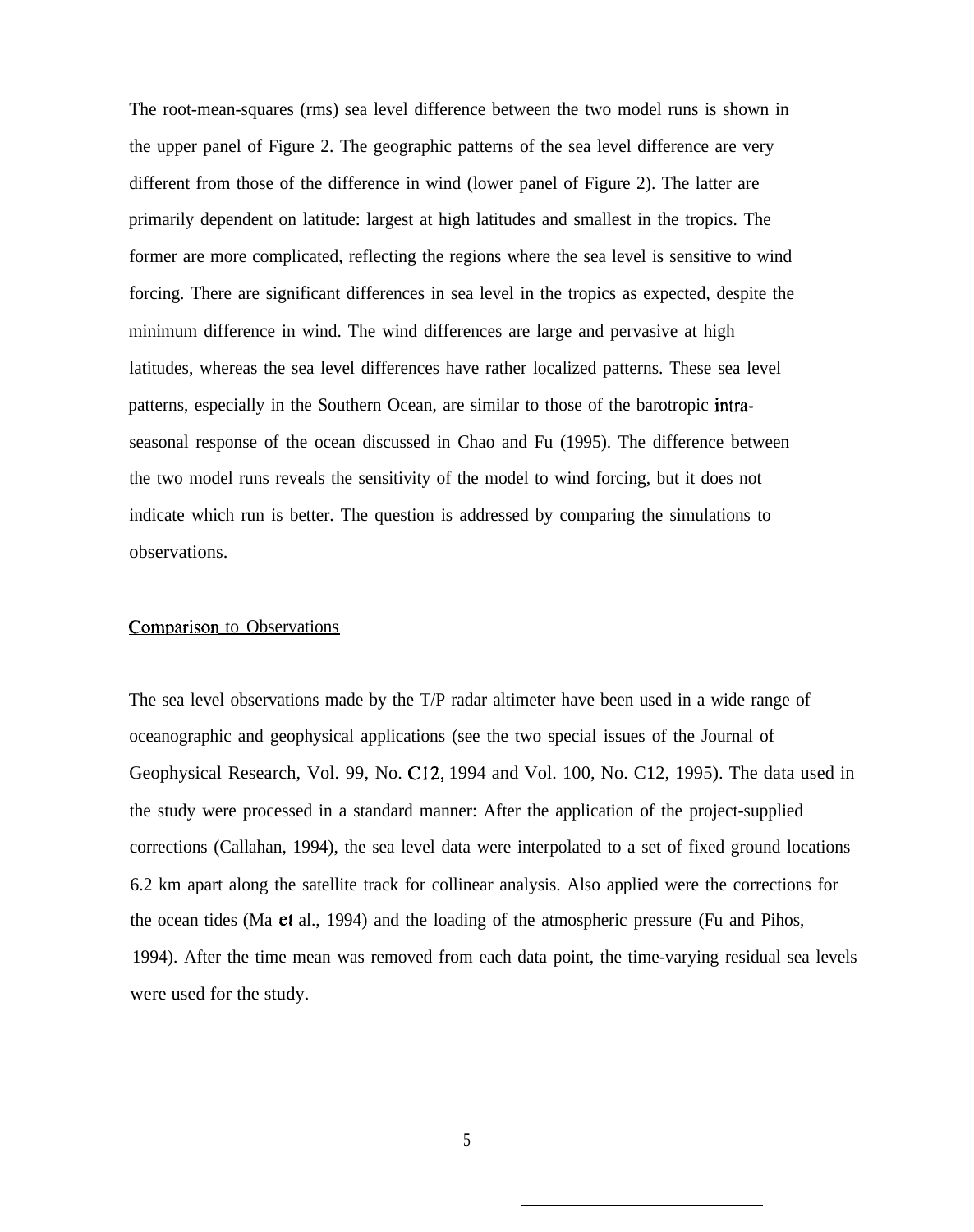The root-mean-squares (rms) sea level difference between the two model runs is shown in the upper panel of Figure 2. The geographic patterns of the sea level difference are very different from those of the difference in wind (lower panel of Figure 2). The latter are primarily dependent on latitude: largest at high latitudes and smallest in the tropics. The former are more complicated, reflecting the regions where the sea level is sensitive to wind forcing. There are significant differences in sea level in the tropics as expected, despite the minimum difference in wind. The wind differences are large and pervasive at high latitudes, whereas the sea level differences have rather localized patterns. These sea level patterns, especially in the Southern Ocean, are similar to those of the barotropic intraseasonal response of the ocean discussed in Chao and Fu (1995). The difference between the two model runs reveals the sensitivity of the model to wind forcing, but it does not indicate which run is better. The question is addressed by comparing the simulations to observations.

### Comparison to Observations

The sea level observations made by the T/P radar altimeter have been used in a wide range of oceanographic and geophysical applications (see the two special issues of the Journal of Geophysical Research, Vol. 99, No. C12, 1994 and Vol. 100, No. C12, 1995). The data used in the study were processed in a standard manner: After the application of the project-supplied corrections (Callahan, 1994), the sea level data were interpolated to a set of fixed ground locations 6.2 km apart along the satellite track for collinear analysis. Also applied were the corrections for the ocean tides (Ma et al., 1994) and the loading of the atmospheric pressure (Fu and Pihos, 1994). After the time mean was removed from each data point, the time-varying residual sea levels were used for the study.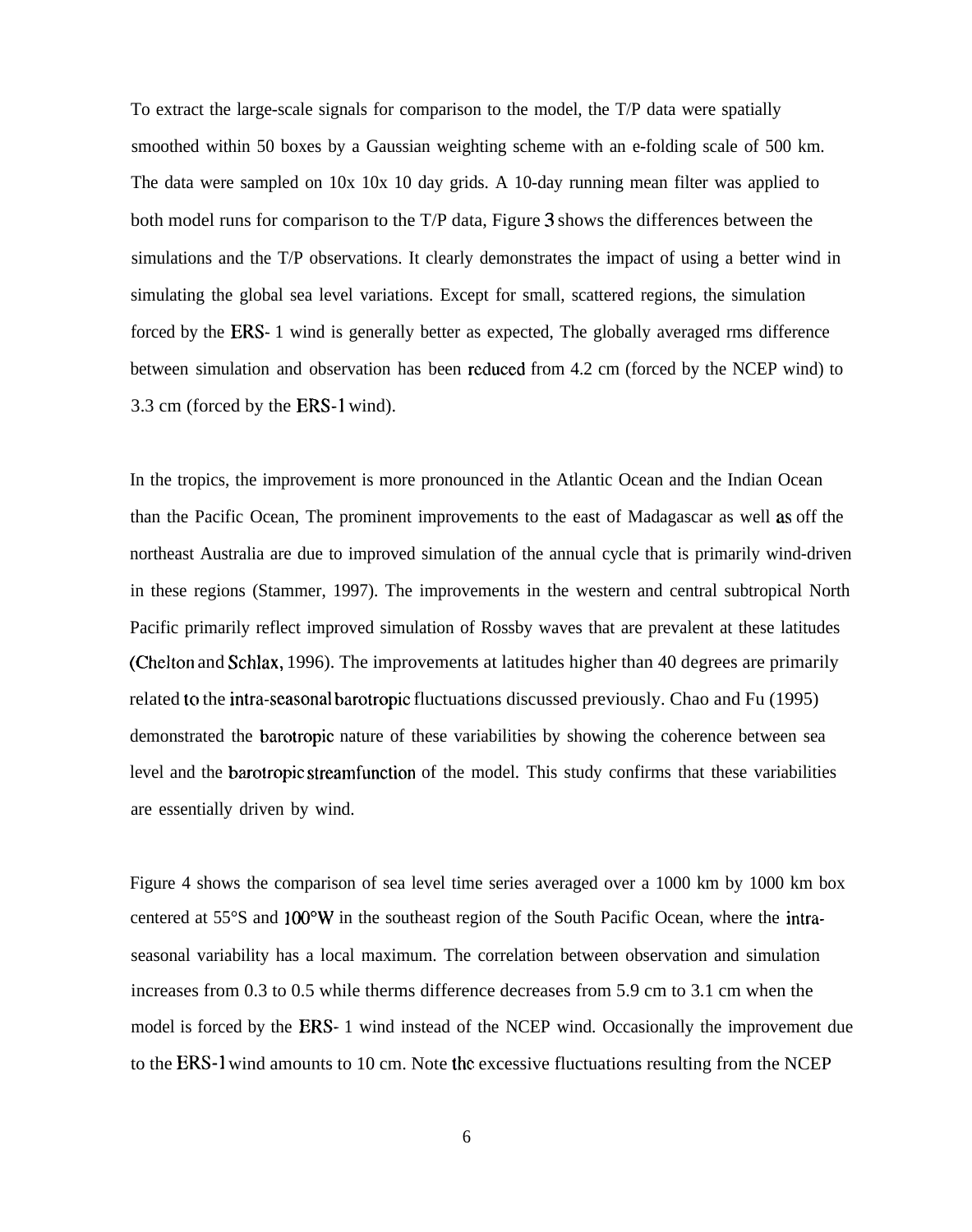To extract the large-scale signals for comparison to the model, the T/P data were spatially smoothed within 50 boxes by a Gaussian weighting scheme with an e-folding scale of 500 km. The data were sampled on 10x 10x 10 day grids. A 10-day running mean filter was applied to both model runs for comparison to the T/P data, Figure 3 shows the differences between the simulations and the T/P observations. It clearly demonstrates the impact of using a better wind in simulating the global sea level variations. Except for small, scattered regions, the simulation forced by the ERS- 1 wind is generally better as expected, The globally averaged rms difference between simulation and observation has been recluced from 4.2 cm (forced by the NCEP wind) to 3.3 cm (forced by the ERS-1 wind).

In the tropics, the improvement is more pronounced in the Atlantic Ocean and the Indian Ocean than the Pacific Ocean, The prominent improvements to the east of Madagascar as well as off the northeast Australia are due to improved simulation of the annual cycle that is primarily wind-driven in these regions (Stammer, 1997). The improvements in the western and central subtropical North Pacific primarily reflect improved simulation of Rossby waves that are prevalent at these latitudes (Chelton and Schlax, 1996). The improvements at latitudes higher than 40 degrees are primarily related to the intra-seasonal barotropic fluctuations discussed previously. Chao and Fu (1995) demonstrated the barotropic nature of these variabilities by showing the coherence between sea level and the barotropic streamfunction of the model. This study confirms that these variabilities are essentially driven by wind.

Figure 4 shows the comparison of sea level time series averaged over a 1000 km by 1000 km box centered at 55°S and 100°W in the southeast region of the South Pacific Ocean, where the intraseasonal variability has a local maximum. The correlation between observation and simulation increases from 0.3 to 0.5 while therms difference decreases from 5.9 cm to 3.1 cm when the model is forced by the ERS- 1 wind instead of the NCEP wind. Occasionally the improvement due to the ERS-1 wind amounts to 10 cm. Note the excessive fluctuations resulting from the NCEP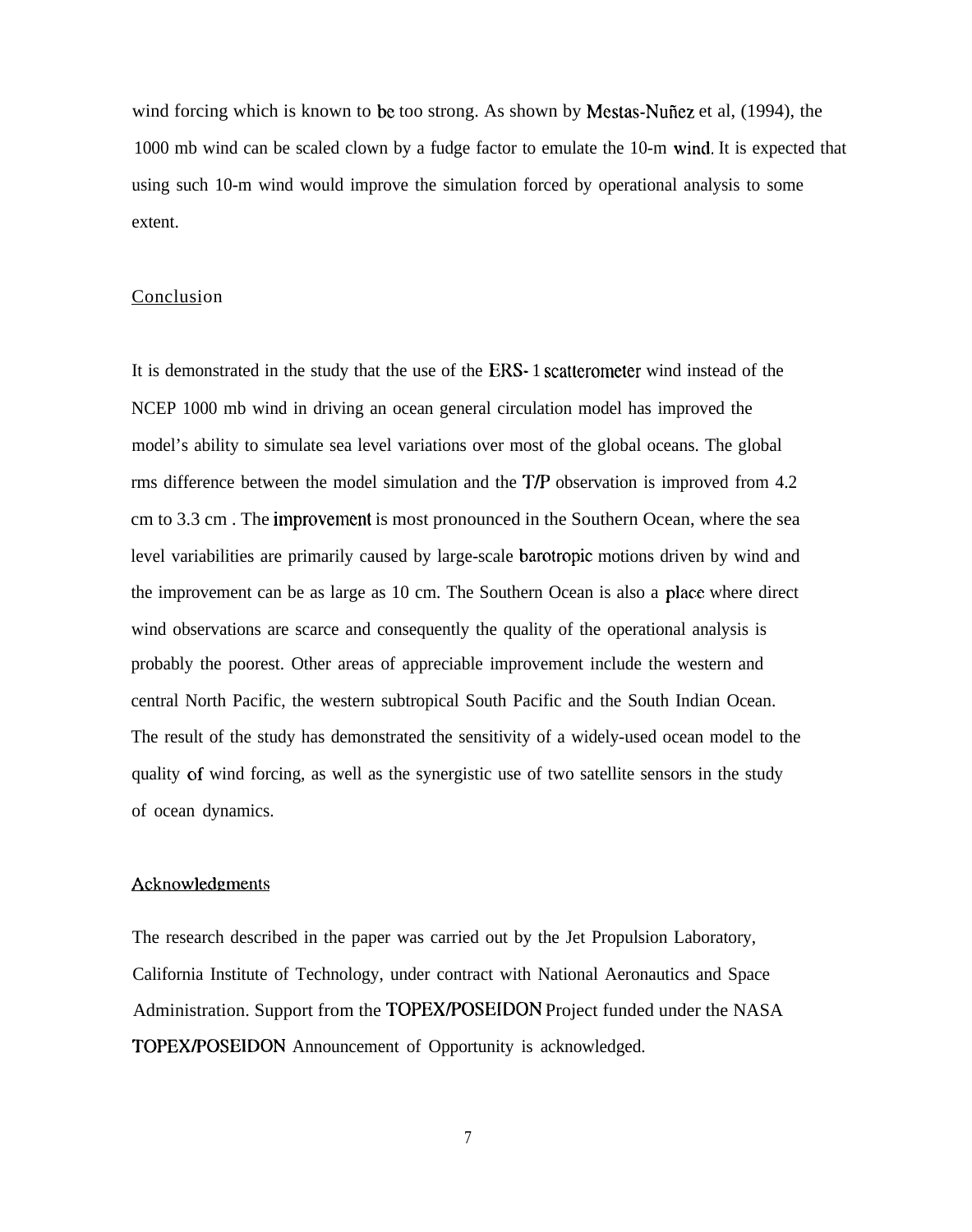wind forcing which is known to be too strong. As shown by Mestas-Nufiez et al, (1994), the 1000 mb wind can be scaled clown by a fudge factor to emulate the 10-m wincl. It is expected that using such 10-m wind would improve the simulation forced by operational analysis to some extent.

# Conclusion

It is demonstrated in the study that the use of the ERS- 1 scatterometer wind instead of the NCEP 1000 mb wind in driving an ocean general circulation model has improved the model's ability to simulate sea level variations over most of the global oceans. The global rms difference between the model simulation and the TIP observation is improved from 4.2 cm to 3.3 cm. The improvement is most pronounced in the Southern Ocean, where the sea level variabilities are primarily caused by large-scale barotropic motions driven by wind and the improvement can be as large as 10 cm. The Southern Ocean is also a place where direct wind observations are scarce and consequently the quality of the operational analysis is probably the poorest. Other areas of appreciable improvement include the western and central North Pacific, the western subtropical South Pacific and the South Indian Ocean. The result of the study has demonstrated the sensitivity of a widely-used ocean model to the quality of wind forcing, as well as the synergistic use of two satellite sensors in the study of ocean dynamics.

#### Acknowledgments

The research described in the paper was carried out by the Jet Propulsion Laboratory, California Institute of Technology, under contract with National Aeronautics and Space Administration. Support from the TOPEXIPOSEIDON Project funded under the NASA TOPEX/POSEIDON Announcement of Opportunity is acknowledged.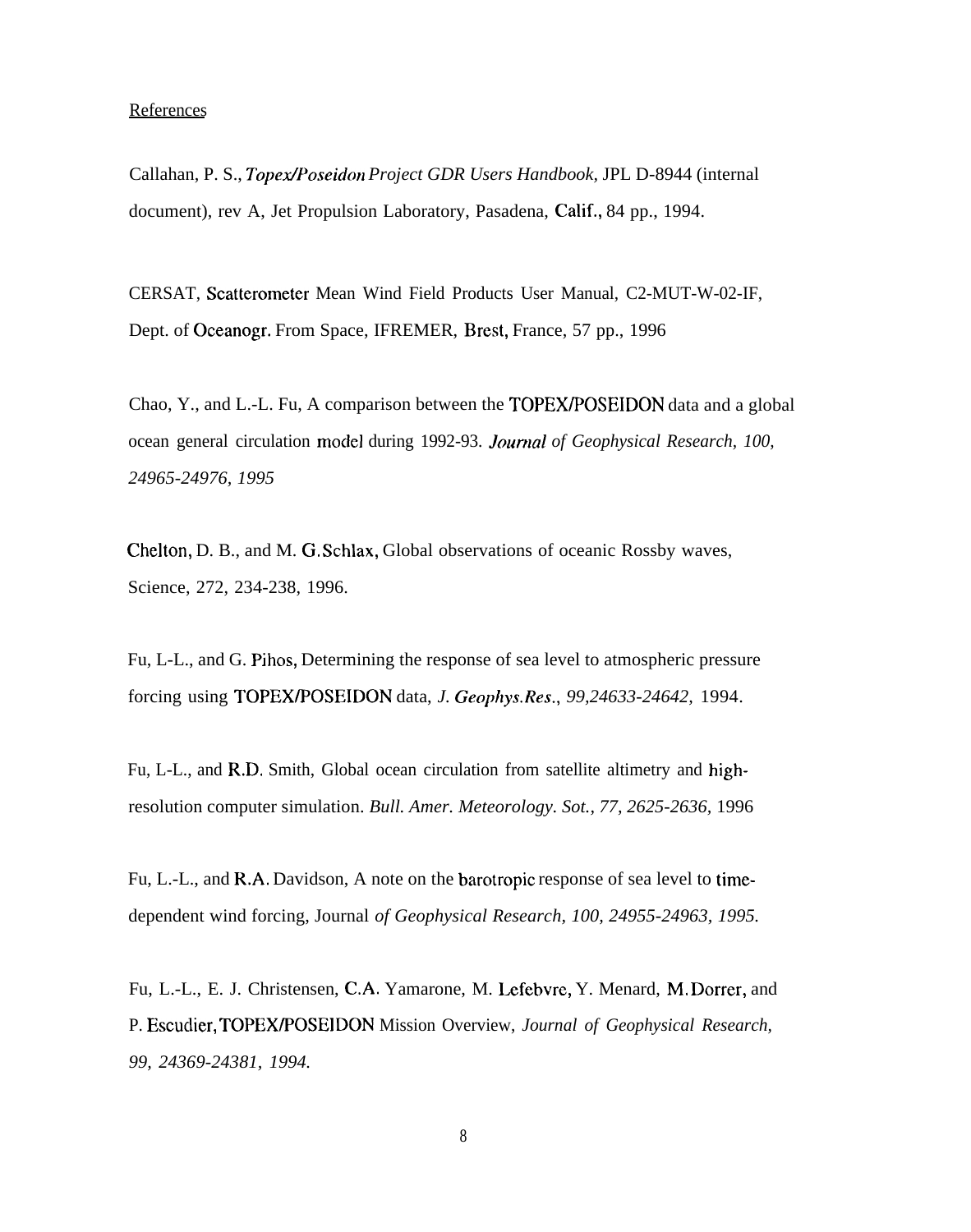# **References**

Callahan, P. S., *Topex/Poseidon Project GDR Users Handbook*, JPL D-8944 (internal document), rev A, Jet Propulsion Laboratory, Pasadena, Calif., 84 pp., 1994.

CERSAT, Scatterometer Mean Wind Field Products User Manual, C2-MUT-W-02-IF, Dept. of Oceanogr. From Space, IFREMER, Brest, France, 57 pp., 1996

Chao, Y., and L.-L. Fu, A comparison between the TOPEXIPOSEIDON data and a global ocean general circulation moclel during 1992-93. *lournal of Geophysical Research, 100, 24965-24976, 1995*

Chelton, D. B., and M. G. Schlax, Global observations of oceanic Rossby waves, Science, 272, 234-238, 1996.

Fu, L-L., and G. Pihos, Determining the response of sea level to atmospheric pressure forcing using TOPEX/POSEIDON data, *J. Geophys.Res., 99,24633-24642,* 1994.

Fu, L-L., and R.D. Smith, Global ocean circulation from satellite altimetry and highresolution computer simulation. *Bull. Amer. Meteorology. Sot., 77, 2625-2636,* 1996

Fu, L.-L., and R.A. Davidson, A note on the barotropic response of sea level to timedependent wind forcing, Journal *of Geophysical Research, 100, 24955-24963, 1995.*

Fu, L.-L., E. J. Christensen, C.A. Yamarone, M. Lefebvre, Y. Menard, M. Dorrer, and P. Escuclier, TOPEX/POSEIDON Mission Overview, *Journal of Geophysical Research, 99, 24369-24381, 1994.*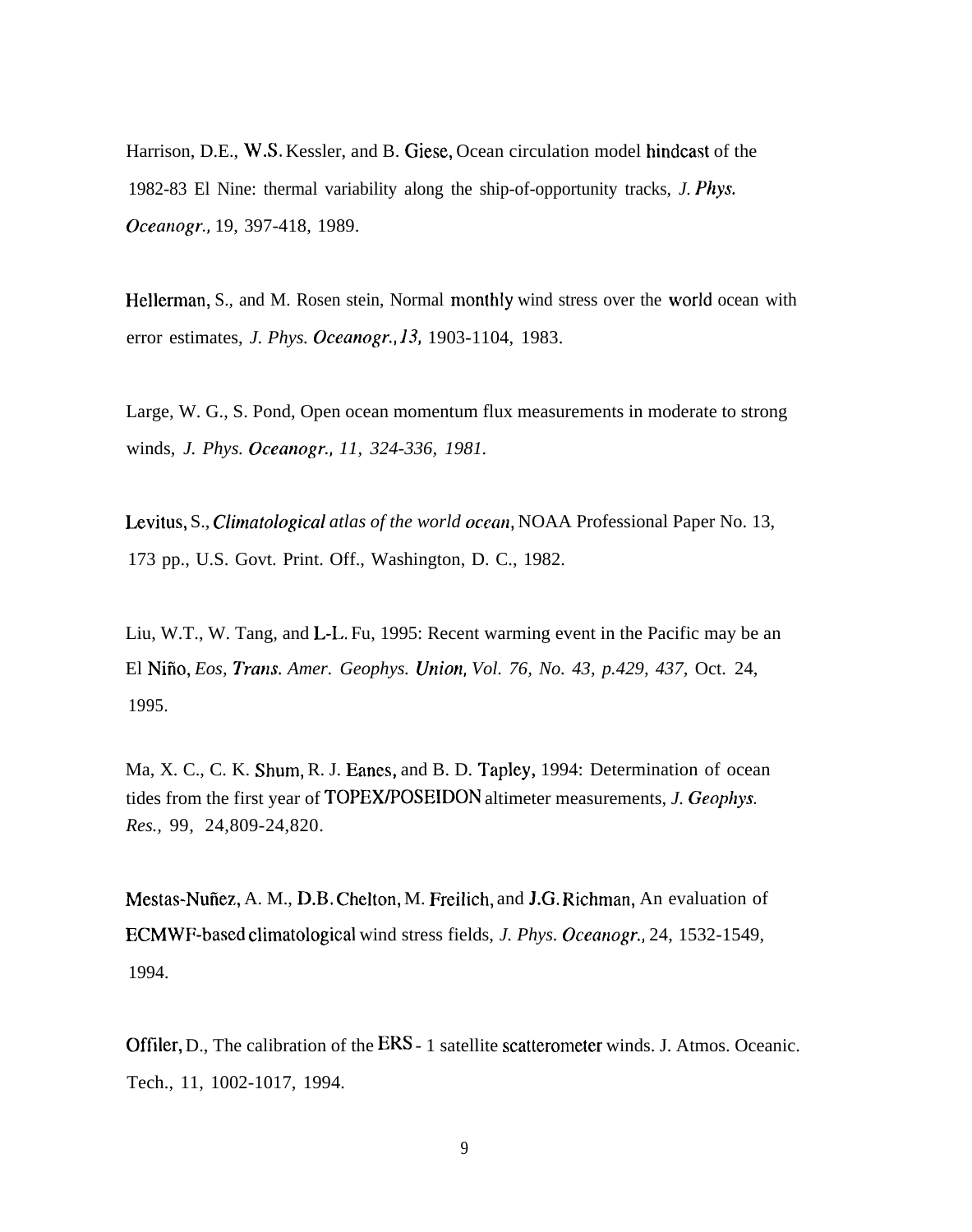Harrison, D.E., W.S. Kessler, and B. Giese, Ocean circulation model hindcast of the 1982-83 El Nine: thermal variability along the ship-of-opportunity tracks, *J. Phys. Oceanogr.,* 19, 397-418, 1989.

Hellerman, S., and M. Rosen stein, Normal monthly wind stress over the world ocean with error estimates, *J. Phys. Oceanogr., 13,* 1903-1104, 1983.

Large, W. G., S. Pond, Open ocean momentum flux measurements in moderate to strong winds, *J. Phys. Oceanogr., 11, 324-336, 1981.*

Levitus, S., *Climatological atlas of the world ocean*, NOAA Professional Paper No. 13, 173 pp., U.S. Govt. Print. Off., Washington, D. C., 1982.

Liu, W.T., W. Tang, and L-L. Fu, 1995: Recent warming event in the Pacific may be an El Nifio, *Eos, Tram. Amer. Geophys. Union, Vol. 76, No. 43, p.429, 437,* Oct. 24, 1995.

Ma, X. C., C. K. Shum, R. J. Eanes, and B. D. Tapley, 1994: Determination of ocean tides from the first year of TOPEWPOSEIDON altimeter measurements, *J. Geophys. Res.,* 99, 24,809-24,820.

Mestas-Nufiez, A. M., D.B. Chelton, M. Freilich, and J.G. Richman, An evaluation of ECMWF-based climatological wind stress fields, *J. Phys. Oceanogr.,* 24, 1532-1549, 1994.

Offiler, D., The calibration of the ERS - 1 satellite scatterometer winds. J. Atmos. Oceanic. Tech., 11, 1002-1017, 1994.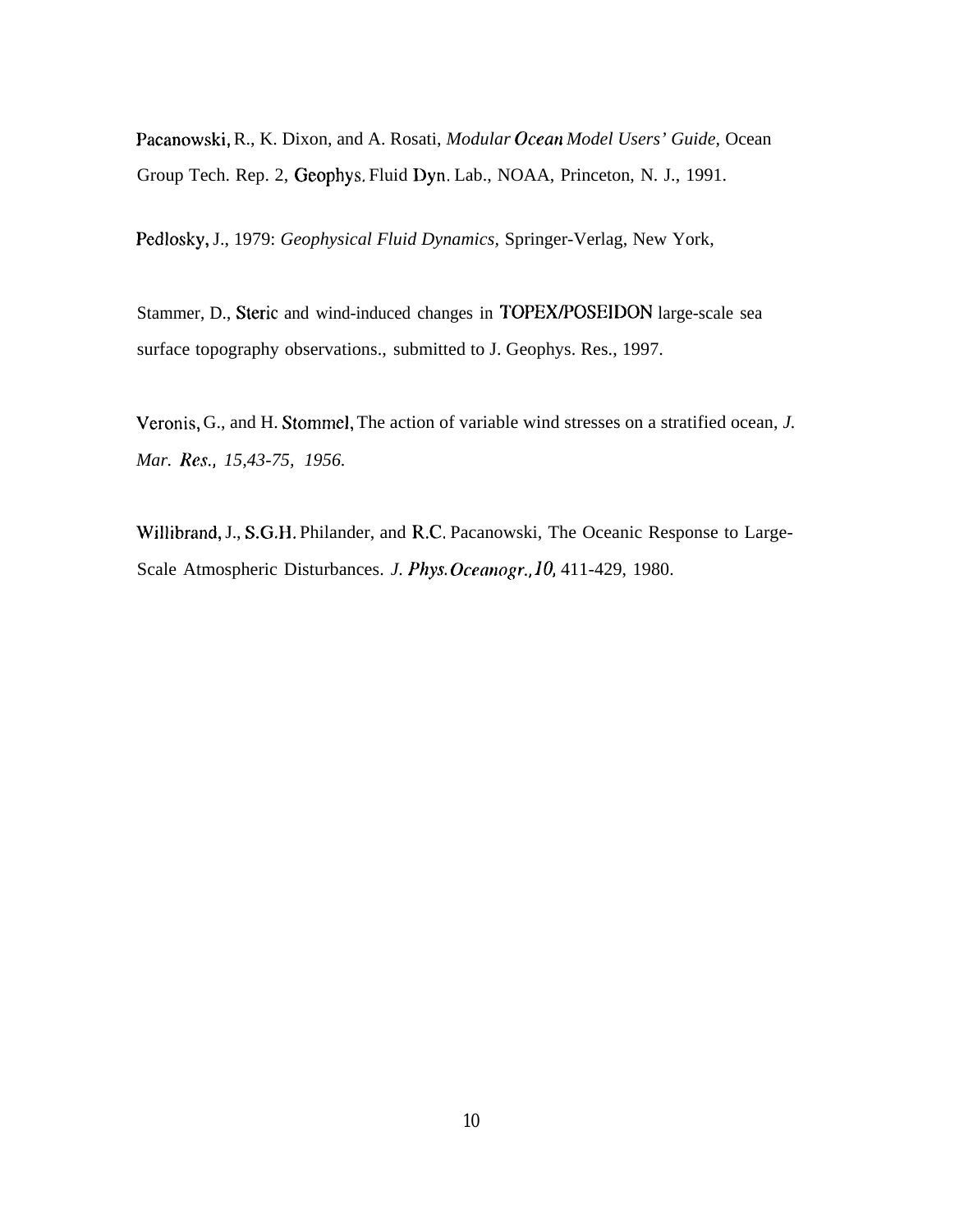Pacanowski, R., K. Dixon, and A. Rosati, *Modular Ocean Model Users' Guide*, Ocean Group Tech. Rep. 2, Geophys. Fluid Dyn, Lab., NOAA, Princeton, N. J., 1991.

Pedlosky, J., 1979: *Geophysical Fluid Dynamics,* Springer-Verlag, New York,

Stammer, D., Steric and wind-induced changes in TOPEX/POSEIDON large-scale sea surface topography observations., submitted to J. Geophys. Res., 1997.

Veronis, G., and H. Stommel, The action of variable wind stresses on a stratified ocean, *J. Mar. Res., 15,43-75, 1956.*

Willibrand, J., S.G.H. Philander, and R.C. Pacanowski, The Oceanic Response to Large-Scale Atmospheric Disturbances. *J. Phys. Ocemogr., 10,* 411-429, 1980.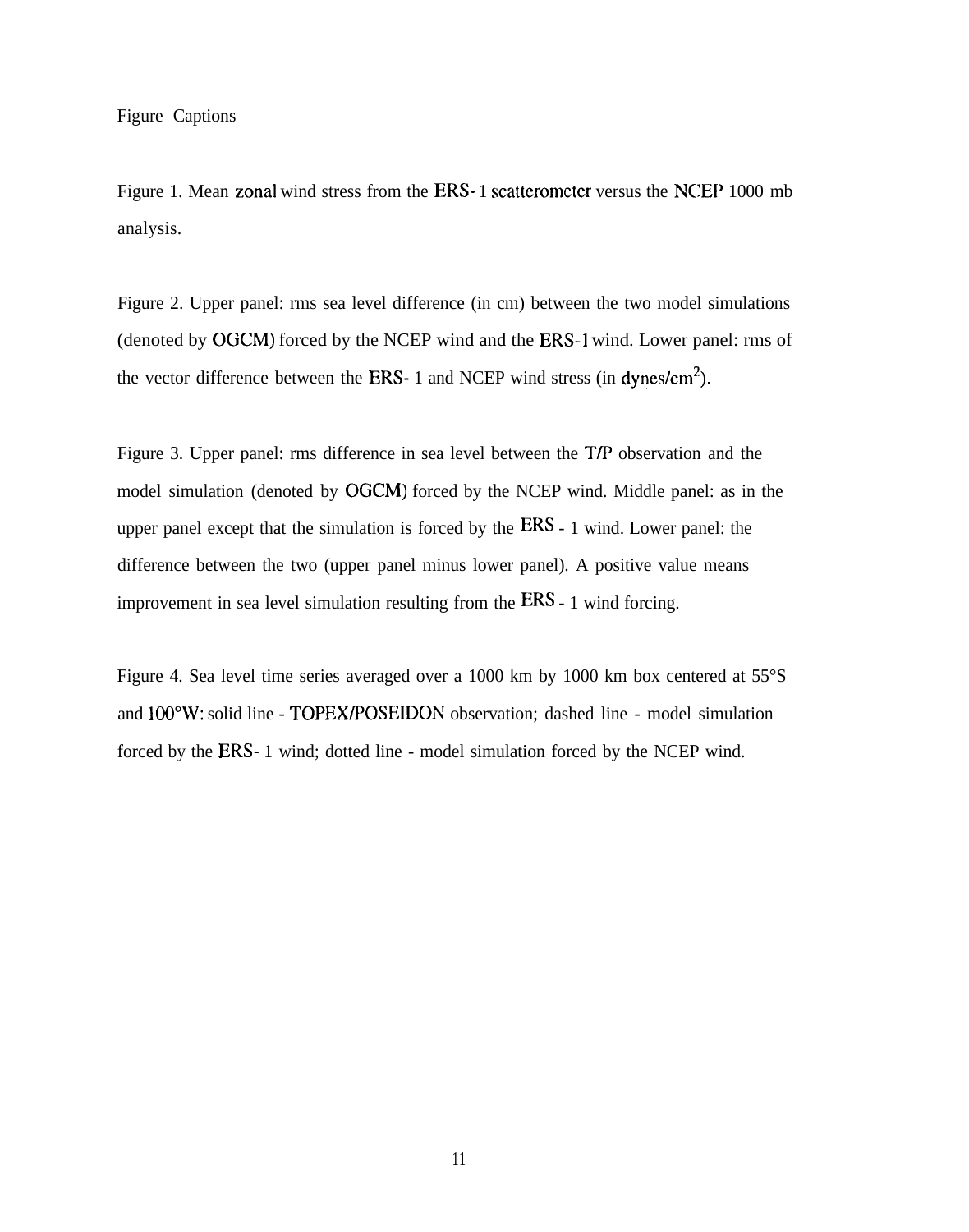Figure 1. Mean zonal wind stress from the ERS- 1 scatterometer versus the NCEP 1000 mb analysis.

Figure 2. Upper panel: rms sea level difference (in cm) between the two model simulations (denoted by OGCM) forced by the NCEP wind and the ERS-1 wind. Lower panel: rms of the vector difference between the ERS- 1 and NCEP wind stress (in dynes/cm<sup>2</sup>).

Figure 3. Upper panel: rms difference in sea level between the T/P observation and the model simulation (denoted by OGCM) forced by the NCEP wind. Middle panel: as in the upper panel except that the simulation is forced by the ERS - 1 wind. Lower panel: the difference between the two (upper panel minus lower panel). A positive value means improvement in sea level simulation resulting from the ERS - 1 wind forcing.

Figure 4. Sea level time series averaged over a 1000 km by 1000 km box centered at 55°S and 100"W: solid line - TOPEWPOSEIDON observation; dashed line - model simulation forced by the ERS- 1 wind; dotted line - model simulation forced by the NCEP wind.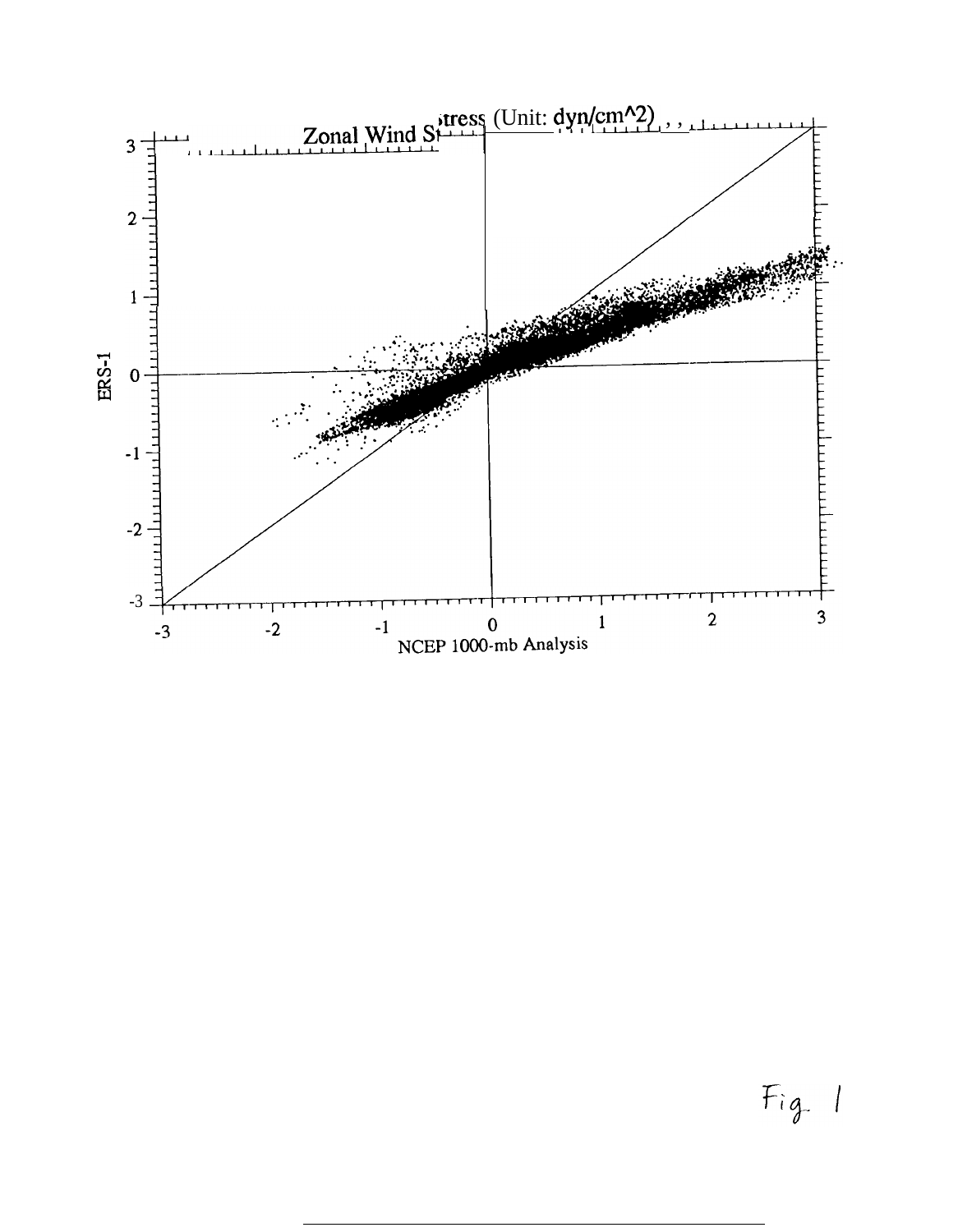

 $Fig. 1$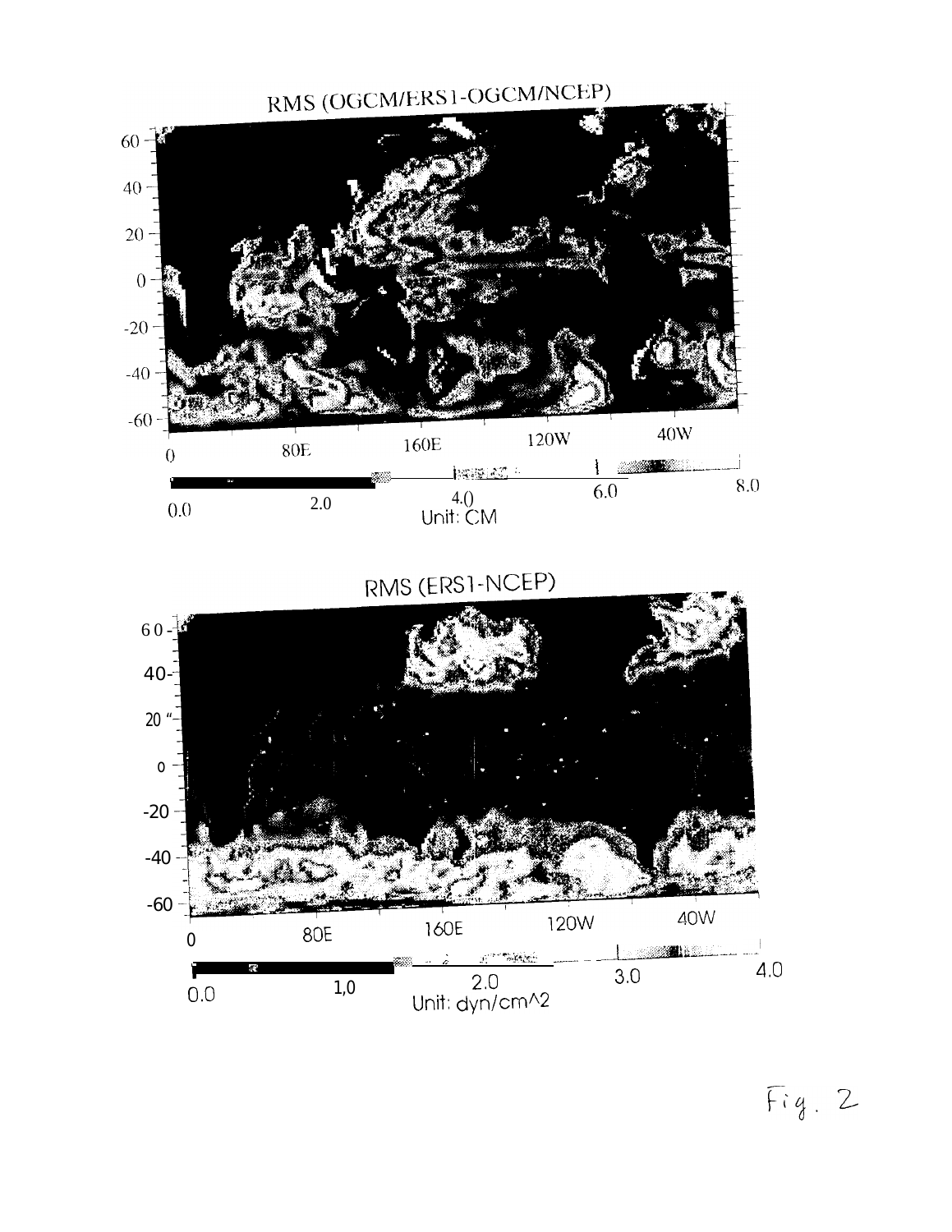

RMS (ERSI-NCEP)



 $Fig. 2$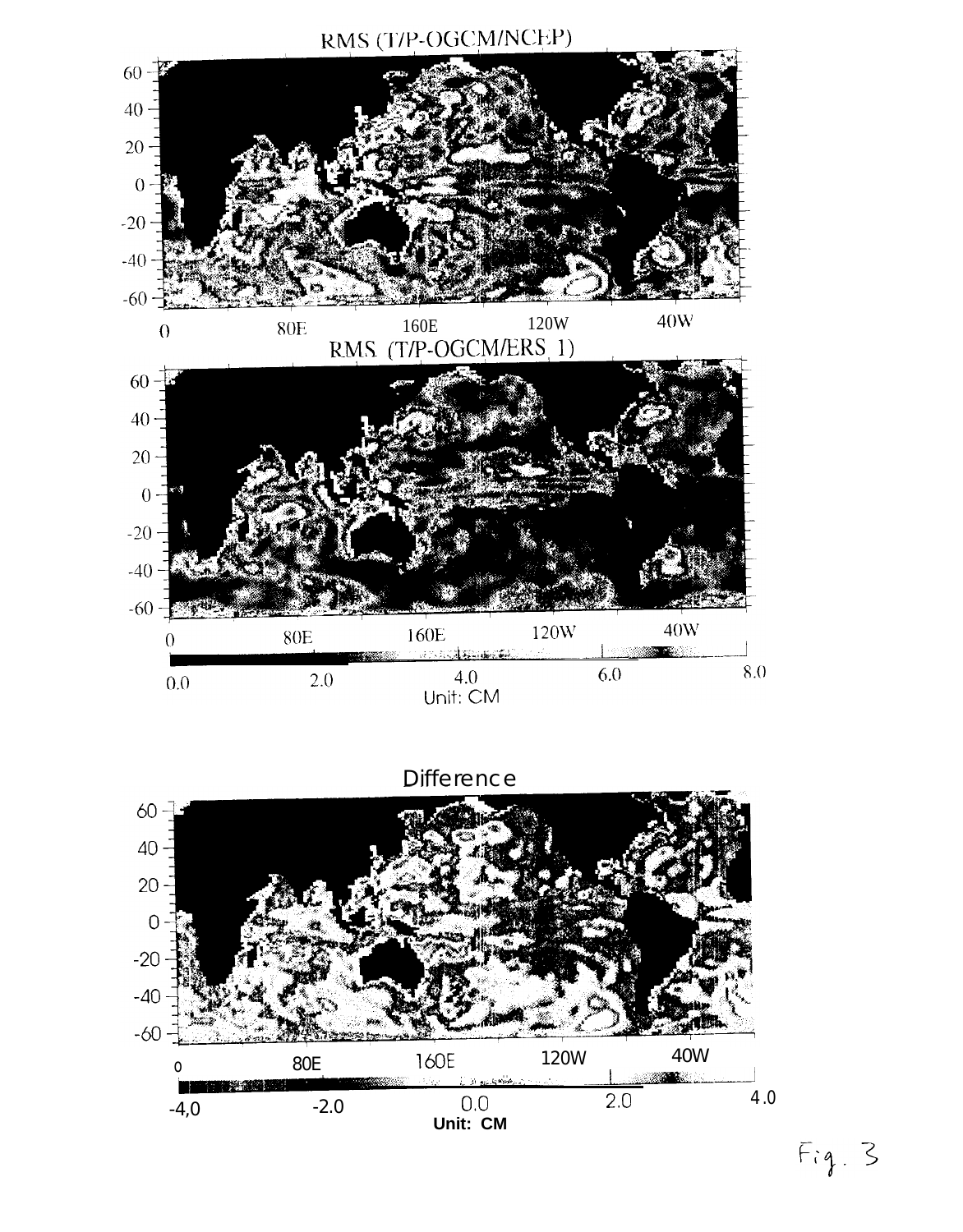

Difference



 $Fig. 3$